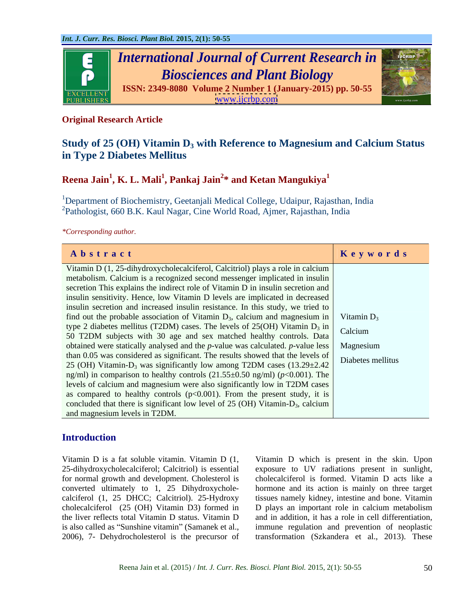

# **Original Research Article**

# **Study of 25 (OH) Vitamin D<sub>3</sub> with Reference to Magnesium and Calcium Status in Type 2 Diabetes Mellitus**

# **Reena Jain<sup>1</sup> , K. L. Mali<sup>1</sup> , Pankaj Jain<sup>2</sup> \* and Ketan Mangukiya<sup>1</sup>**

<sup>1</sup>Department of Biochemistry, Geetanjali Medical College, Udaipur, Rajasthan, India  $^{2}$ Pathologist, 660 B.K. Kaul Nagar, Cine World Road, Ajmer, Rajasthan, India

*\*Corresponding author.*

| Abstract                                                                                                                                            | Keywords |
|-----------------------------------------------------------------------------------------------------------------------------------------------------|----------|
| Vitamin D (1, 25-dihydroxycholecalciferol, Calcitriol) plays a role in calcium                                                                      |          |
| metabolism. Calcium is a recognized second messenger implicated in insulin                                                                          |          |
| secretion This explains the indirect role of Vitamin D in insulin secretion and                                                                     |          |
| insulin sensitivity. Hence, low Vitamin D levels are implicated in decreased                                                                        |          |
| insulin secretion and increased insulin resistance. In this study, we tried to                                                                      |          |
| find out the probable association of Vitamin $D_3$ , calcium and magnesium in Vitamin $D_3$                                                         |          |
| type 2 diabetes mellitus (T2DM) cases. The levels of 25(OH) Vitamin $D_3$ in<br>50 T2DM subjects with 30 age and sex matched healthy controls. Data |          |
|                                                                                                                                                     |          |
| obtained were statically analysed and the $p$ -value was calculated. $p$ -value less Magnesium                                                      |          |
| than 0.05 was considered as significant. The results showed that the levels of Diabetes mellitus                                                    |          |
| 25 (OH) Vitamin- $D_3$ was significantly low among T2DM cases $(13.29 \pm 2.42)$                                                                    |          |
| ng/ml) in comparison to healthy controls $(21.55\pm0.50 \text{ ng/ml})$ ( $p<0.001$ ). The                                                          |          |
| levels of calcium and magnesium were also significantly low in T2DM cases                                                                           |          |
| as compared to healthy controls $(p<0.001)$ . From the present study, it is                                                                         |          |
| concluded that there is significant low level of $25$ (OH) Vitamin- $D_3$ , calcium                                                                 |          |
| and magnesium levels in T2DM.                                                                                                                       |          |

# **Introduction**

2006), 7- Dehydrocholesterol is the precursor of

Vitamin D is a fat soluble vitamin. Vitamin D (1, Vitamin D which is present in the skin. Upon 25-dihydroxycholecalciferol; Calcitriol) is essential exposure to UV radiations present in sunlight, for normal growth and development. Cholesterol is cholecalciferol is formed. Vitamin D acts like a converted ultimately to 1, 25 Dihydroxychole- hormone and its action is mainly on three target calciferol (1, 25 DHCC; Calcitriol). 25-Hydroxy tissues namely kidney, intestine and bone. Vitamin cholecalciferol (25 (OH) Vitamin D3) formed in D plays an important role in calcium metabolism the liver reflects total Vitamin D status. Vitamin D and in addition, it has a rolein cell differentiation, is also called as "Sunshine vitamin" (Samanek et al., immune regulation and prevention of neoplastic transformation (Szkandera et al., 2013). These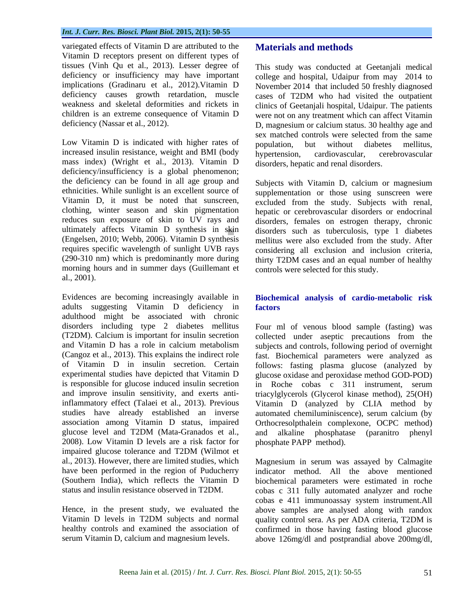variegated effects of Vitamin D are attributed to the Vitamin D receptors present on different types of tissues (Vinh Qu et al., 2013). Lesser degree of This study was conducted at Geetanjali medical deficiency or insufficiency may have important

increased insulin resistance, weight and BMI (body hypertension, cardiovascular, cerebrovascular mass index) (Wright et al., 2013). Vitamin D deficiency/insufficiency is a global phenomenon; the deficiency can be found in all age group and Subjects with Vitamin D, calcium or magnesium clothing, winter season and skin pigmentation morning hours and in summer days (Guillemant et al., 2001).

Evidences are becoming increasingly available in **Biochemical analysis of cardio-metabolic risk**  adults suggesting Vitamin D deficiency in factors adulthood might be associated with chronic association among Vitamin D status, impaired glucose level and T2DM (Mata-Granados et al., 2008). Low Vitamin D levels are a risk factor for impaired glucose tolerance and T2DM (Wilmot et al., 2013). However, there are limited studies, which Magnesium in serum was assayed by Calmagite have been performed in the region of Puducherry indicator method. All the above mentioned (Southern India), which reflects the Vitamin D biochemical parameters were estimated in roche

Vitamin D levels in T2DM subjects and normal quality control sera. As per ADA criteria, T2DM is

## **Materials and methods**

implications (Gradinaru et al., 2012).Vitamin D November 2014 that included 50 freshly diagnosed deficiency causes growth retardation, muscle cases of T2DM who had visited the outpatient weakness and skeletal deformities and rickets in clinics of Geetanjali hospital, Udaipur. The patients children is an extreme consequence of Vitamin D were not on any treatment which can affect Vitamin deficiency (Nassar et al., 2012). D, magnesium or calcium status. 30 healthy age and Low Vitamin D is indicated with higher rates of population, but without diabetes mellitus. college and hospital, Udaipur from may 2014 to sex matched controls were selected from the same population, but without diabetes mellitus, hypertension, cardiovascular, cerebrovascular disorders, hepatic and renal disorders.

ethnicities. While sunlight is an excellent source of supplementation or those using sunscreen were Vitamin D, it must be noted that sunscreen, excluded from the study. Subjects with renal, reduces sun exposure of skin to UV rays and disorders, females on estrogen therapy, chronic ultimately affects Vitamin D synthesis in skin disorders such as tuberculosis, type 1 diabetes (Engelsen, 2010; Webb, 2006). Vitamin D synthesis mellitus were also excluded from the study. After requires specific wavelength of sunlight UVB rays considering all exclusion and inclusion criteria, (290-310 nm) which is predominantly more during thirty T2DM cases and an equal number of healthy hepatic or cerebrovascular disorders or endocrinal controls were selected for this study.

# **factors** *factors*

disorders including type 2 diabetes mellitus Four ml of venous blood sample (fasting) was (T2DM). Calcium is important for insulin secretion collected under aseptic precautions from the and Vitamin D has a role in calcium metabolism subjects and controls, following period of overnight (Cangoz et al., 2013). This explains the indirect role fast. Biochemical parameters were analyzed as of Vitamin D in insulin secretion. Certain follows: fasting plasma glucose (analyzed by experimental studies have depicted that Vitamin D glucose oxidase and peroxidase method GOD-POD) is responsible for glucose induced insulin secretion in Roche cobas c 311 instrument, serum and improve insulin sensitivity, and exerts anti-triacylglycerols (Glycerol kinase method), 25(OH) inflammatory effect (Talaei et al., 2013). Previous Vitamin D (analyzed by CLIA method by studies have already established an inverse automated chemiluminiscence), serum calcium (by Orthocresolpthalein complexone, OCPC method) alkaline phosphatase (paranitro phosphate PAPP method).

status and insulin resistance observed in T2DM. cobas c 311 fully automated analyzer and roche Hence, in the present study, we evaluated the above samples are analysed along with randox healthy controls and examined the association of confirmed in those having fasting blood glucose serum Vitamin D, calcium and magnesium levels. above 126mg/dl and postprandial above 200mg/dl,cobas e 411 immunoassay system instrument.All quality control sera. As per ADA criteria, T2DM is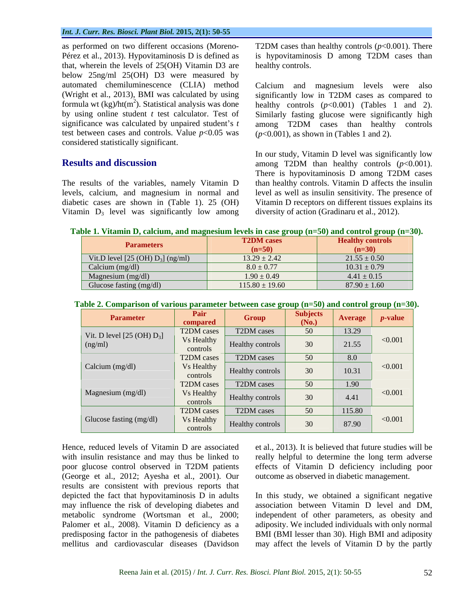### *Int. J. Curr. Res. Biosci. Plant Biol.* **2015, 2(1): 50-55**

as performed on two different occasions (Moreno- T2DM cases than healthy controls (*p*<0.001). There Pérez et al., 2013). Hypovitaminosis D is defined as that, wherein the levels of 25(OH) Vitamin D3 are below 25ng/ml 25(OH) D3 were measured by automated chemiluminescence (CLIA) method Calcium and magnesium levels were also (Wright et al., 2013), BMI was calculated by using significantly low in T2DM cases as compared to by using online student *t* test calculator. Test of test between cases and controls. Value  $p<0.05$  was considered statistically significant.

Vitamin  $D_3$  level was significantly low among

is hypovitaminosis D among T2DM cases than healthy controls.

formula wt (kg)/ht(m<sup>2</sup>). Statistical analysis was done healthy controls  $(p<0.001)$  (Tables 1 and 2). significance was calculated by unpaired student s *t* among T2DM cases than healthy controls significantly low in T2DM cases as compared to healthy controls (*p*<0.001) (Tables 1 and 2).<br>Similarly fasting glucose were significantly high (*p*<0.001), as shown in (Tables 1 and 2).

**Results and discussion** among T2DM than healthy controls (*p*<0.001). The results of the variables, namely Vitamin D than healthy controls. Vitamin D affects the insulin levels, calcium, and magnesium in normal and level as well as insulin sensitivity. The presence of diabetic cases are shown in (Table 1). 25 (OH) Vitamin D receptors on different tissues explains its In our study, Vitamin D level was significantly low There is hypovitaminosis D among T2DM cases diversity of action (Gradinaru et al., 2012).

| <b>Parameters</b>                  | <b>T2DM</b> cases  | <b>Healthy controls</b> |
|------------------------------------|--------------------|-------------------------|
|                                    | $(n=50)$           | $(n=30)$                |
| Vit.D level $[25 (OH) D3]$ (ng/ml) | $13.29 \pm 2.42$   | $21.55 \pm 0.50$        |
| Calcium (mg/dl)                    | $8.0 \pm 0.77$     | $10.31 \pm 0.79$        |
| Magnesium (mg/dl)                  | $1.90 \pm 0.49$    | $4.41 \pm 0.15$         |
| Glucose fasting (mg/dl)            | $115.80 \pm 19.60$ | $87.90 \pm 1.60$        |

| able as comparison or various parameter between case group $(n-v)$ and control group $(n-v)$ . |                        |                  |                          |                |                 |  |  |
|------------------------------------------------------------------------------------------------|------------------------|------------------|--------------------------|----------------|-----------------|--|--|
| <b>Parameter</b>                                                                               | Pair<br>compared       | Group            | <b>Subjects</b><br>(No.) | <b>Average</b> | <i>p</i> -value |  |  |
| Vit. D level $[25 \text{ (OH) D}_3]$<br>(ng/ml)                                                | T2DM cases             | T2DM cases       | 50                       | 13.29          | < 0.001         |  |  |
|                                                                                                | Vs Healthy<br>controls | Healthy controls | 30                       | 21.55          |                 |  |  |
|                                                                                                | T2DM cases             | T2DM cases       | 50                       | 8.0            |                 |  |  |
| Calcium (mg/dl)                                                                                | Vs Healthy<br>controls | Healthy controls | 30                       | 10.31          | < 0.001         |  |  |
|                                                                                                | T2DM cases             | T2DM cases       | 50                       | 1.90           |                 |  |  |
| Magnesium (mg/dl)                                                                              | Vs Healthy<br>controls | Healthy controls | 30                       | 4.41           | < 0.001         |  |  |
|                                                                                                | T2DM cases             | T2DM cases       | 50                       | 115.80         |                 |  |  |
| Glucose fasting (mg/dl)                                                                        | Vs Healthy<br>controls | Healthy controls | 30                       | 87.90          | < 0.001         |  |  |

#### **Table 2. Comparison of various parameter between case group (n=50) and control group (n=30).**

Hence, reduced levels of Vitamin D are associated et al., 2013). It is believed that future studies will be with insulin resistance and may thus be linked to really helpful to determine the long term adverse poor glucose control observed in T2DM patients effects of Vitamin D deficiency including poor (George et al., 2012; Ayesha et al., 2001). Our results are consistent with previous reports that metabolic syndrome (Wortsman et al., 2000; Palomer et al., 2008). Vitamin D deficiency as a

outcome as observed in diabetic management.

depicted the fact that hypovitaminosis D in adults In this study, we obtained a significant negative may influence the risk of developing diabetes and association between Vitamin D level and DM, predisposing factor in the pathogenesis of diabetes BMI (BMI lesser than 30). High BMI and adiposity mellitus and cardiovascular diseases (Davidson may affect the levels of Vitamin D by the partlyindependent of other parameters, as obesity and adiposity. We included individuals with only normal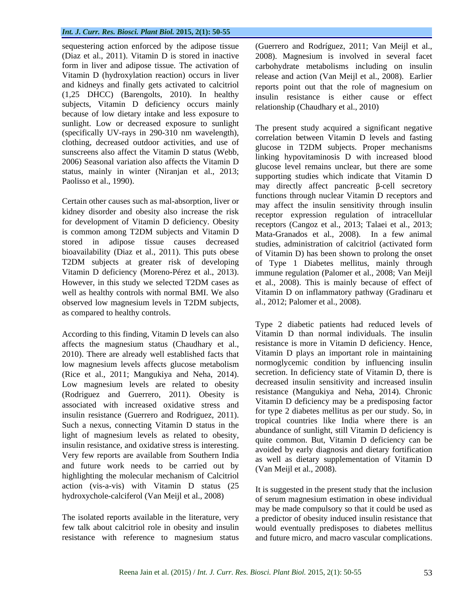### *Int. J. Curr. Res. Biosci. Plant Biol.* **2015, 2(1): 50-55**

(1,25 DHCC) (Barengolts, 2010). In healthy subjects, Vitamin D deficiency occurs mainly because of low dietary intake and less exposure to sunlight. Low or decreased exposure to sunlight (specifically UV-rays in 290-310 nm wavelength), clothing, decreased outdoor activities, and use of sunscreens also affect the Vitamin D status (Webb, 2006) Seasonal variation also affects the Vitamin D status, mainly in winter (Niranjan et al., 2013;

Certain other causes such as mal-absorption, liver or kidney disorder and obesity also increase the risk for development of Vitamin D deficiency. Obesity is common among T2DM subjects and Vitamin D T2DM subjects at greater risk of developing well as healthy controls with normal BMI. We also observed low magnesium levels in T2DM subjects, as compared to healthy controls.

According to this finding, Vitamin D levels can also affects the magnesium status (Chaudhary et al., 2010). There are already well established facts that low magnesium levels affects glucose metabolism (Rice et al., 2011; Mangukiya and Neha, 2014). Low magnesium levels are related to obesity (Rodriguez and Guerrero, 2011). Obesity is associated with increased oxidative stress and insulin resistance (Guerrero and Rodriguez, 2011). Such a nexus, connecting Vitamin D status in the light of magnesium levels as related to obesity, insulin resistance, and oxidative stress is interesting. Very few reports are available from Southern India and future work needs to be carried out by  $\frac{dS}{dV}$  (Van Meijl et al., 2008). highlighting the molecular mechanism of Calcitriol action (vis-a-vis) with Vitamin D status  $(25$  It is suggested in the present study that the inclusion hydroxychole-calciferol (Van Meijl et al., 2008)

sequestering action enforced by the adipose tissue (Guerrero and Rodríguez, 2011; Van Meijl et al., (Diaz et al., 2011). Vitamin D is stored in inactive 2008). Magnesium is involved in several facet form in liver and adipose tissue. The activation of carbohydrate metabolisms including on insulin Vitamin D (hydroxylation reaction) occurs in liver release and action (Van Meijl et al., 2008). Earlier and kidneys and finally gets activated to calcitriol reports point out that the role of magnesium on insulin resistance is either cause or effect relationship (Chaudhary et al., 2010)

Paolisso et al., 1990).  $\frac{\text{supp} \times \text{values}}{\text{map} \times \text{values}}$  and  $\frac{\text{linear}}{\text{time}}$  and  $\frac{\text{linear}}{\text{time}}$  and  $\frac{\text{linear}}{\text{time}}$  is  $\frac{\text{linear}}{\text{time}}$ stored in adipose tissue causes decreased studies, administration of calcitriol (activated form bioavailability (Diaz et al., 2011). This puts obese of Vitamin D) has been shown to prolong the onset Vitamin D deficiency (Moreno-Pérez et al., 2013). immune regulation (Palomer et al., 2008; Van Meijl However, in this study we selected T2DM cases as et al., 2008). This is mainly because of effect of The present study acquired a significant negative correlation between Vitamin D levels and fasting glucose in T2DM subjects. Proper mechanisms linking hypovitaminosis D with increased blood glucose level remains unclear, but there are some supporting studies which indicate that Vitamin D functions through nuclear Vitamin D receptors and may affect the insulin sensitivity through insulin receptor expression regulation of intracellular receptors (Cangoz et al., 2013; Talaei et al., 2013; Mata-Granados et al., 2008). In a few animal of Type 1 Diabetes mellitus, mainly through Vitamin D on inflammatory pathway (Gradinaru et al., 2012; Palomer et al., 2008).

> Type 2 diabetic patients had reduced levels of Vitamin D than normal individuals. The insulin resistance is more in Vitamin D deficiency. Hence, Vitamin D plays an important role in maintaining normoglycemic condition by influencing insulin secretion. In deficiency state of Vitamin D, there is decreased insulin sensitivity and increased insulin resistance (Mangukiya and Neha, 2014). Chronic Vitamin D deficiency may be a predisposing factor for type 2 diabetes mellitus as per our study. So, in tropical countries like India where there is an abundance of sunlight, still Vitamin D deficiency is quite common. But, Vitamin D deficiency can be avoided by early diagnosis and dietary fortification as well as dietary supplementation of Vitamin D

The isolated reports available in the literature, very a predictor of obesity induced insulin resistance that few talk about calcitriol role in obesity and insulin would eventually predisposes to diabetes mellitus resistance with reference to magnesium status and future micro, and macro vascular complications. (Van Meijl et al., 2008).<br>It is suggested in the present study that the inclusion of serum magnesium estimation in obese individual may be made compulsory so that it could be used as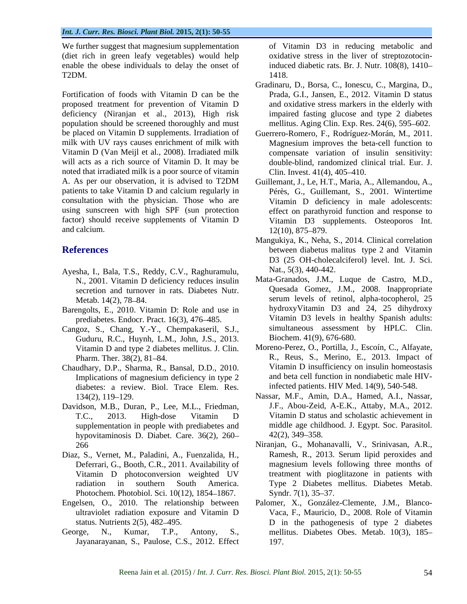We further suggest that magnesium supplementation (diet rich in green leafy vegetables) would help enable the obese individuals to delay the onset of T2DM. 1418.

Fortification of foods with Vitamin D can be the Prada, G.I., Jansen, E., 2012. Vitamin D status proposed treatment for prevention of Vitamin D deficiency (Niranjan et al., 2013), High risk population should be screened thoroughly and must be placed on Vitamin D supplements. Irradiation of Guerrero-Romero, F., Rodríguez-Morán, M., 2011. milk with UV rays causes enrichment of milk with Magnesium improves the beta-cell function to Vitamin D (Van Meijl et al., 2008). Irradiated milk compensate variation of insulin sensitivity: will acts as a rich source of Vitamin D. It may be noted that irradiated milk is a poor source of vitamin Clin. Invest. 41(4), 405–410. A. As per our observation, it is advised to T2DM Guillemant, J., Le, H.T., Maria, A., Allemandou, A., A. As per our observation, it is advised to T2DM Guillemant, J., Le, H.T., Maria, A., Allemandou, A., patients to take Vitamin D and calcium regularly in Pérès, G., Guillemant, S., 2001. Wintertime consultation with the physician. Those who are Vitamin D deficiency in male adolescents: using sunscreen with high SPF (sun protection factor) should receive supplements of Vitamin D and calcium. 12(10), 875–879.

- Ayesha, I., Bala, T.S., Reddy, C.V., Raghuramulu, Nat., 5(3), 440-442.<br>N 2001 Vitamin D deficiency reduces insulin Mata-Granados, J.M., Luque de Castro, M.D., secretion and turnover in rats. Diabetes Nutr.
- Barengolts, E., 2010. Vitamin D: Role and use in prediabetes. Endocr. Pract. 16(3), 476 485.
- Cangoz, S., Chang, Y.-Y., Chempakaseril, S.J., Guduru, R.C., Huynh, L.M., John, J.S., 2013.
- Chaudhary, D.P., Sharma, R., Bansal, D.D., 2010. Implications of magnesium deficiency in type 2 diabetes: a review. Biol. Trace Elem. Res.
- Davidson, M.B., Duran, P., Lee, M.L., Friedman, supplementation in people with prediabetes and hypovitaminosis D. Diabet. Care. 36(2), 260-42(2), 349-358.
- Photochem. Photobiol. Sci. 10(12), 1854–1867. Syndr. 7(1), 35–37.
- Engelsen, O., 2010. The relationship between
- 

of Vitamin D3 in reducing metabolic and oxidative stress in the liver of streptozotocininduced diabetic rats. Br. J. Nutr. 108(8), 1410 1418.

- Gradinaru, D., Borsa, C., Ionescu, C., Margina, D., Prada, G.I., Jansen, E., 2012. Vitamin <sup>D</sup> status and oxidative stress markers in the elderly with impaired fasting glucose and type 2 diabetes mellitus. Aging Clin. Exp. Res.  $24(6)$ , 595–602.
- double-blind, randomized clinical trial. Eur. J. Clin. Invest.  $41(4)$ ,  $405-410$ .
- effect on parathyroid function and response to Vitamin D3 supplements. Osteoporos Int.  $12(10)$ ,  $875-879$ .
- **References between** diabetus malitus type 2 and Vitamin Mangukiya, K., Neha, S., 2014. Clinical correlation D3 (25 OH-cholecalciferol) level. Int. J. Sci. Nat., 5(3), 440-442.
	- N., 2001. Vitamin D deficiency reduces insulin Mata-Granados, J.M., Luque de Castro, M.D., secretion and turnover in rats. Diabetes Nutr. Quesada Gomez, J.M., 2008. Inappropriate Metab. 14(2), 78–84. Serum levels of retinol, alpha-tocopherol, 25 Mata-Granados, J.M., Luque de Castro, M.D., Quesada Gomez, J.M., 2008. Inappropriate hydroxyVitamin D3 and 24, 25 dihydroxy Vitamin D3 levels in healthy Spanish adults: simultaneous assessment by HPLC. Clin. Biochem. 41(9), 676-680.
	- Vitamin D and type 2 diabetes mellitus. J. Clin. Moreno-Perez, O., Portilla, J., Escoín, C., Alfayate, Pharm. Ther. 38(2), 81–84. **R., Reus, S., Merino, E., 2013.** Impact of Vitamin D insufficiency on insulin homeostasis and beta cell function in nondiabetic male HIVinfected patients. HIV Med. 14(9), 540-548.
	- 134(2), 119–129. Nassar, M.F., Amin, D.A., Hamed, A.I., Nassar, T.C., 2013. High-dose Vitamin D Vitamin D status and scholastic achievement in J.F., Abou-Zeid, A-E.K., Attaby, M.A., 2012. middle age childhood. J. Egypt. Soc. Parasitol.  $42(2)$ ,  $349-358$ .
- 266<br>
266 Niranjan, G., Mohanavalli, V., Srinivasan, A.R.,<br>
265 Niranjan, G., Mohanavalli, V., Srinivasan, A.R.,<br>
2013. Serum lipid peroxides and Diaz, S., Vernet, M., Paladini, A., Fuenzalida, H., Ramesh, R., 2013. Serum lipid peroxides and Deferrari, G., Booth, C.R., 2011. Availability of magnesium levels following three months of Vitamin D photoconversion weighted UV treatment with pioglitazone in patients with radiation in southern South America. Type 2 Diabetes mellitus. Diabetes Metab. Niranjan, G., Mohanavalli, V., Srinivasan, A.R., Ramesh, R., 2013. Serum lipid peroxides and magnesium levels following three months of Syndr.  $7(1)$ ,  $35-37$ .
- ultraviolet radiation exposure and Vitamin D Vaca, F., Mauricio, D., 2008. Role of Vitamin status. Nutrients 2(5), 482 495. D in the pathogenesis of type 2 diabetes George, N., Kumar, T.P., Antony, S., mellitus. Diabetes Obes. Metab. 10(3), 185–<br>Jayanarayanan, S., Paulose, C.S., 2012. Effect 197. Palomer, X., González-Clemente, J.M., Blanco- 197.